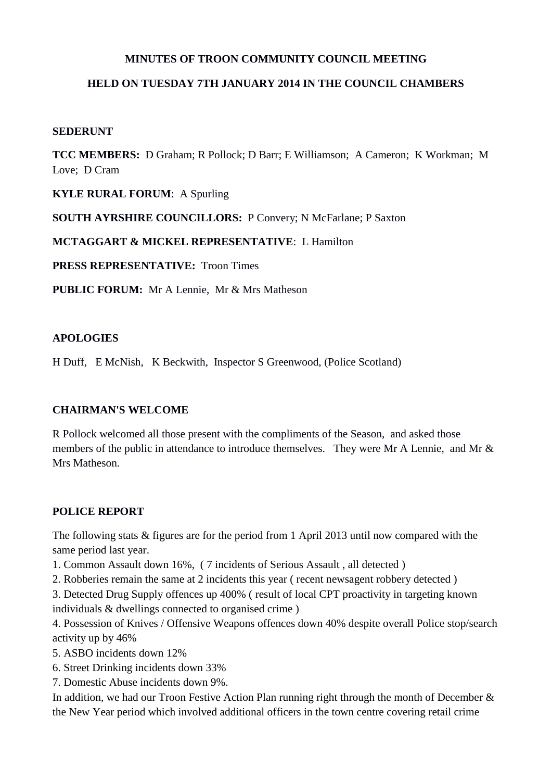### **MINUTES OF TROON COMMUNITY COUNCIL MEETING**

## **HELD ON TUESDAY 7TH JANUARY 2014 IN THE COUNCIL CHAMBERS**

### **SEDERUNT**

**TCC MEMBERS:** D Graham; R Pollock; D Barr; E Williamson; A Cameron; K Workman; M Love; D Cram

**KYLE RURAL FORUM**: A Spurling

**SOUTH AYRSHIRE COUNCILLORS:** P Convery; N McFarlane; P Saxton

**MCTAGGART & MICKEL REPRESENTATIVE**: L Hamilton

**PRESS REPRESENTATIVE:** Troon Times

**PUBLIC FORUM:** Mr A Lennie, Mr & Mrs Matheson

## **APOLOGIES**

H Duff, E McNish, K Beckwith, Inspector S Greenwood, (Police Scotland)

## **CHAIRMAN'S WELCOME**

R Pollock welcomed all those present with the compliments of the Season, and asked those members of the public in attendance to introduce themselves. They were Mr A Lennie, and Mr & Mrs Matheson.

## **POLICE REPORT**

The following stats & figures are for the period from 1 April 2013 until now compared with the same period last year.

1. Common Assault down 16%, ( 7 incidents of Serious Assault , all detected )

- 2. Robberies remain the same at 2 incidents this year ( recent newsagent robbery detected )
- 3. Detected Drug Supply offences up 400% ( result of local CPT proactivity in targeting known individuals & dwellings connected to organised crime )

4. Possession of Knives / Offensive Weapons offences down 40% despite overall Police stop/search activity up by 46%

- 5. ASBO incidents down 12%
- 6. Street Drinking incidents down 33%
- 7. Domestic Abuse incidents down 9%.

In addition, we had our Troon Festive Action Plan running right through the month of December & the New Year period which involved additional officers in the town centre covering retail crime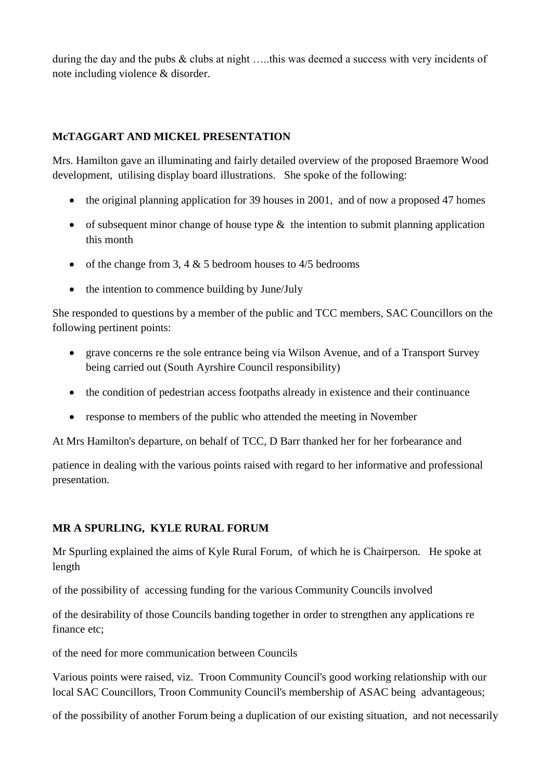during the day and the pubs & clubs at night …..this was deemed a success with very incidents of note including violence & disorder.

## **McTAGGART AND MICKEL PRESENTATION**

Mrs. Hamilton gave an illuminating and fairly detailed overview of the proposed Braemore Wood development, utilising display board illustrations. She spoke of the following:

- the original planning application for 39 houses in 2001, and of now a proposed 47 homes
- of subsequent minor change of house type  $\&$  the intention to submit planning application this month
- of the change from 3, 4  $&$  5 bedroom houses to 4/5 bedrooms
- the intention to commence building by June/July

She responded to questions by a member of the public and TCC members, SAC Councillors on the following pertinent points:

- grave concerns re the sole entrance being via Wilson Avenue, and of a Transport Survey being carried out (South Ayrshire Council responsibility)
- the condition of pedestrian access footpaths already in existence and their continuance
- response to members of the public who attended the meeting in November

At Mrs Hamilton's departure, on behalf of TCC, D Barr thanked her for her forbearance and

patience in dealing with the various points raised with regard to her informative and professional presentation.

## **MR A SPURLING, KYLE RURAL FORUM**

Mr Spurling explained the aims of Kyle Rural Forum, of which he is Chairperson. He spoke at length

of the possibility of accessing funding for the various Community Councils involved

of the desirability of those Councils banding together in order to strengthen any applications re finance etc;

of the need for more communication between Councils

Various points were raised, viz. Troon Community Council's good working relationship with our local SAC Councillors, Troon Community Council's membership of ASAC being advantageous;

of the possibility of another Forum being a duplication of our existing situation, and not necessarily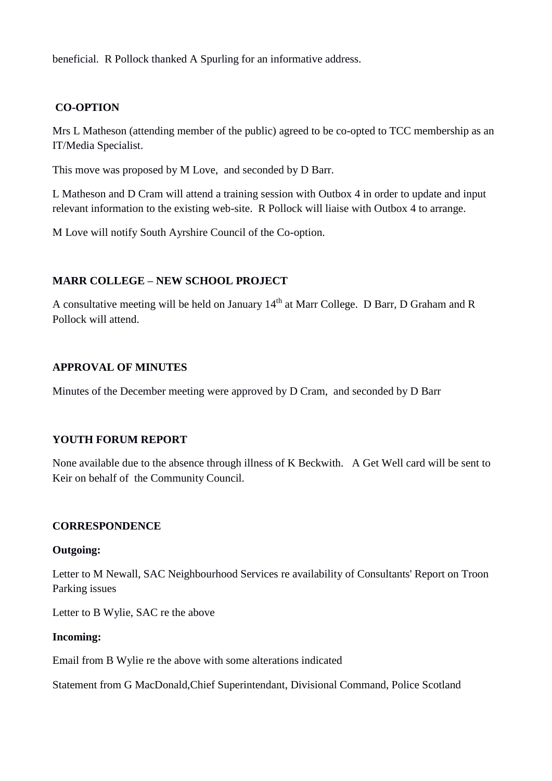beneficial. R Pollock thanked A Spurling for an informative address.

# **CO-OPTION**

Mrs L Matheson (attending member of the public) agreed to be co-opted to TCC membership as an IT/Media Specialist.

This move was proposed by M Love, and seconded by D Barr.

L Matheson and D Cram will attend a training session with Outbox 4 in order to update and input relevant information to the existing web-site. R Pollock will liaise with Outbox 4 to arrange.

M Love will notify South Ayrshire Council of the Co-option.

# **MARR COLLEGE – NEW SCHOOL PROJECT**

A consultative meeting will be held on January  $14<sup>th</sup>$  at Marr College. D Barr, D Graham and R Pollock will attend.

### **APPROVAL OF MINUTES**

Minutes of the December meeting were approved by D Cram, and seconded by D Barr

## **YOUTH FORUM REPORT**

None available due to the absence through illness of K Beckwith. A Get Well card will be sent to Keir on behalf of the Community Council.

### **CORRESPONDENCE**

### **Outgoing:**

Letter to M Newall, SAC Neighbourhood Services re availability of Consultants' Report on Troon Parking issues

Letter to B Wylie, SAC re the above

### **Incoming:**

Email from B Wylie re the above with some alterations indicated

Statement from G MacDonald,Chief Superintendant, Divisional Command, Police Scotland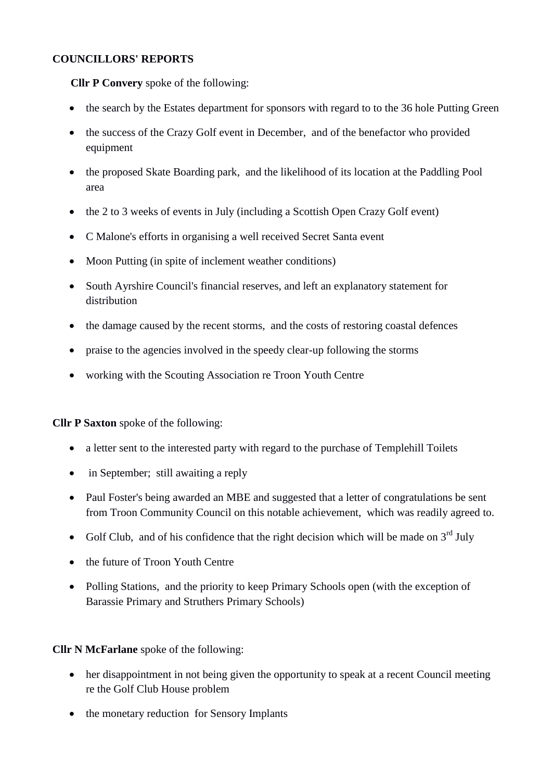## **COUNCILLORS' REPORTS**

**Cllr P Convery** spoke of the following:

- the search by the Estates department for sponsors with regard to to the 36 hole Putting Green
- the success of the Crazy Golf event in December, and of the benefactor who provided equipment
- the proposed Skate Boarding park, and the likelihood of its location at the Paddling Pool area
- the 2 to 3 weeks of events in July (including a Scottish Open Crazy Golf event)
- C Malone's efforts in organising a well received Secret Santa event
- Moon Putting (in spite of inclement weather conditions)
- South Ayrshire Council's financial reserves, and left an explanatory statement for distribution
- the damage caused by the recent storms, and the costs of restoring coastal defences
- praise to the agencies involved in the speedy clear-up following the storms
- working with the Scouting Association re Troon Youth Centre

**Cllr P Saxton** spoke of the following:

- a letter sent to the interested party with regard to the purchase of Templehill Toilets
- in September; still awaiting a reply
- Paul Foster's being awarded an MBE and suggested that a letter of congratulations be sent from Troon Community Council on this notable achievement, which was readily agreed to.
- Golf Club, and of his confidence that the right decision which will be made on  $3<sup>rd</sup>$  July
- the future of Troon Youth Centre
- Polling Stations, and the priority to keep Primary Schools open (with the exception of Barassie Primary and Struthers Primary Schools)

**Cllr N McFarlane** spoke of the following:

- her disappointment in not being given the opportunity to speak at a recent Council meeting re the Golf Club House problem
- the monetary reduction for Sensory Implants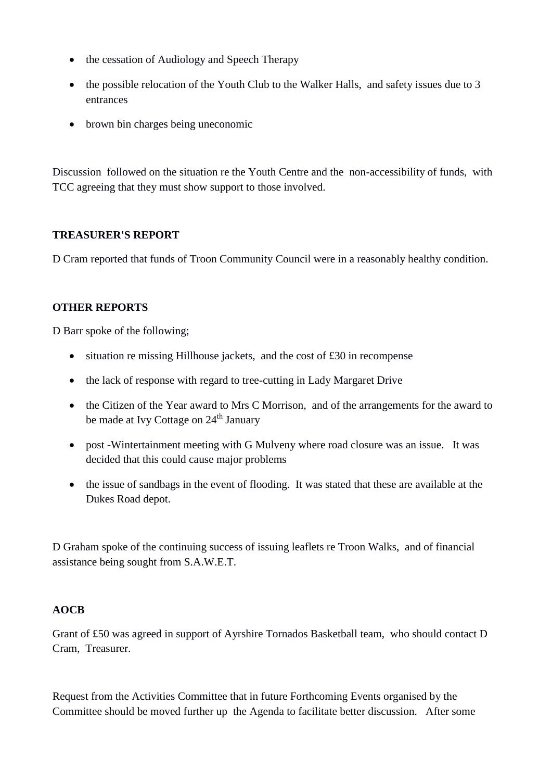- the cessation of Audiology and Speech Therapy
- the possible relocation of the Youth Club to the Walker Halls, and safety issues due to 3 entrances
- brown bin charges being uneconomic

Discussion followed on the situation re the Youth Centre and the non-accessibility of funds, with TCC agreeing that they must show support to those involved.

## **TREASURER'S REPORT**

D Cram reported that funds of Troon Community Council were in a reasonably healthy condition.

# **OTHER REPORTS**

D Barr spoke of the following;

- $\bullet$  situation re missing Hillhouse jackets, and the cost of £30 in recompense
- the lack of response with regard to tree-cutting in Lady Margaret Drive
- the Citizen of the Year award to Mrs C Morrison, and of the arrangements for the award to be made at Ivy Cottage on 24<sup>th</sup> January
- post -Wintertainment meeting with G Mulveny where road closure was an issue. It was decided that this could cause major problems
- the issue of sandbags in the event of flooding. It was stated that these are available at the Dukes Road depot.

D Graham spoke of the continuing success of issuing leaflets re Troon Walks, and of financial assistance being sought from S.A.W.E.T.

## **AOCB**

Grant of £50 was agreed in support of Ayrshire Tornados Basketball team, who should contact D Cram, Treasurer.

Request from the Activities Committee that in future Forthcoming Events organised by the Committee should be moved further up the Agenda to facilitate better discussion. After some